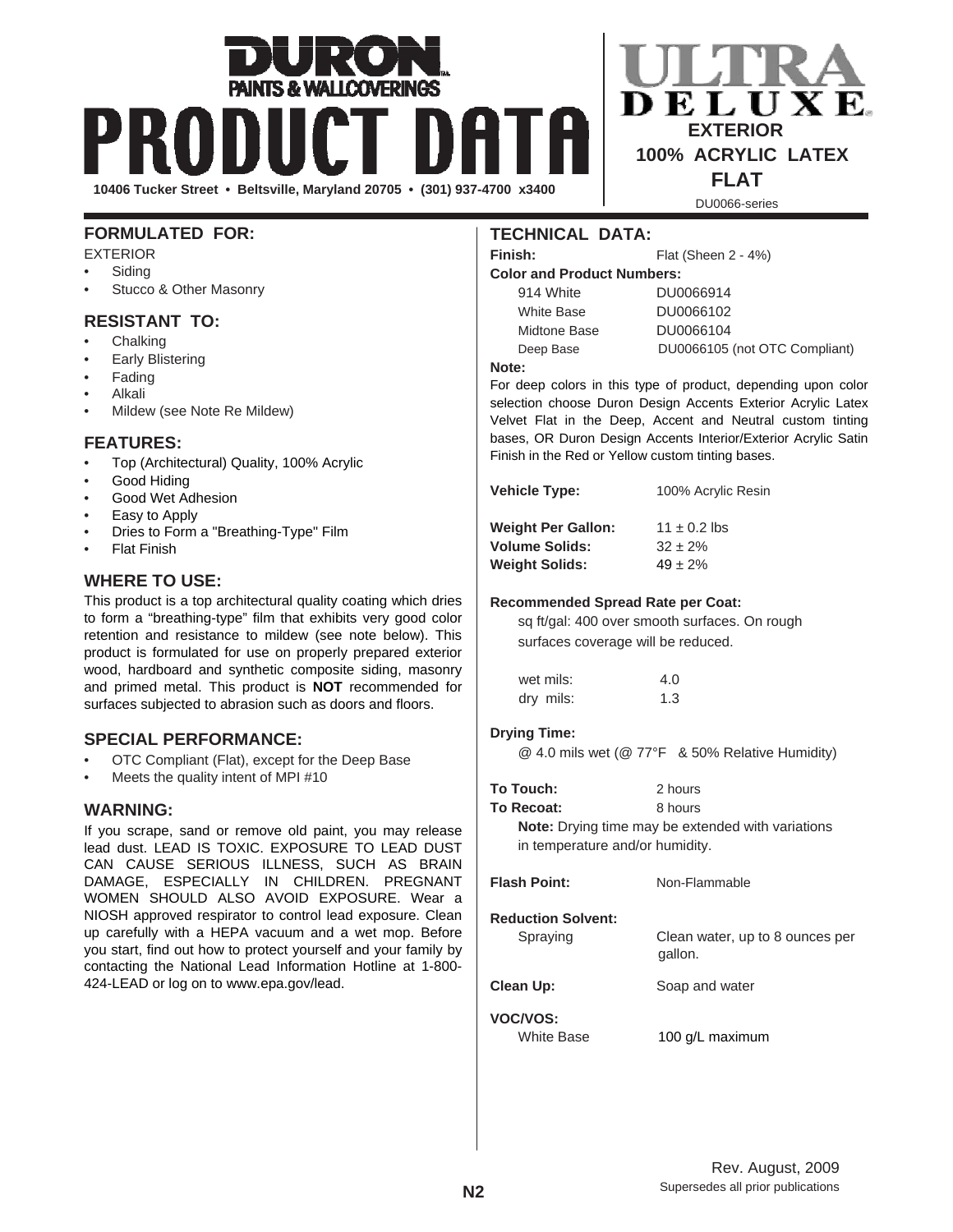# **10406 Tucker Street • Beltsville, Maryland 20705 • (301) 937-4700 x3400 FLAT**

# **FORMULATED FOR:**

EXTERIOR

- **Siding**
- Stucco & Other Masonry

# **RESISTANT TO:**

- **Chalking**
- **Early Blistering**
- Fading
- Alkali
- Mildew (see Note Re Mildew)

# **FEATURES:**

- Top (Architectural) Quality, 100% Acrylic
- Good Hiding
- Good Wet Adhesion
- Easy to Apply
- Dries to Form a "Breathing-Type" Film
- **Flat Finish**

# **WHERE TO USE:**

This product is a top architectural quality coating which dries to form a "breathing-type" film that exhibits very good color retention and resistance to mildew (see note below). This product is formulated for use on properly prepared exterior wood, hardboard and synthetic composite siding, masonry and primed metal. This product is **NOT** recommended for surfaces subjected to abrasion such as doors and floors.

# **SPECIAL PERFORMANCE:**

- OTC Compliant (Flat), except for the Deep Base
- Meets the quality intent of MPI #10

# **WARNING:**

If you scrape, sand or remove old paint, you may release lead dust. LEAD IS TOXIC. EXPOSURE TO LEAD DUST CAN CAUSE SERIOUS ILLNESS, SUCH AS BRAIN DAMAGE, ESPECIALLY IN CHILDREN. PREGNANT WOMEN SHOULD ALSO AVOID EXPOSURE. Wear a NIOSH approved respirator to control lead exposure. Clean up carefully with a HEPA vacuum and a wet mop. Before you start, find out how to protect yourself and your family by contacting the National Lead Information Hotline at 1-800- 424-LEAD or log on to www.epa.gov/lead.

# **TECHNICAL DATA:**

Finish: Flat (Sheen 2 - 4%)

**Color and Product Numbers:**

914 White DU0066914 White Base DU0066102 Midtone Base DU0066104 Deep Base DU0066105 (not OTC Compliant)

 **EXTERIOR 100% ACRYLIC LATEX**

DU0066-series

#### **Note:**

For deep colors in this type of product, depending upon color selection choose Duron Design Accents Exterior Acrylic Latex Velvet Flat in the Deep, Accent and Neutral custom tinting bases, OR Duron Design Accents Interior/Exterior Acrylic Satin Finish in the Red or Yellow custom tinting bases.

| <b>Weight Per Gallon:</b> | $11 \pm 0.2$ lbs |
|---------------------------|------------------|
| <b>Volume Solids:</b>     | $32 \pm 2\%$     |
| <b>Weight Solids:</b>     | $49 \pm 2\%$     |

**Vehicle Type:** 100% Acrylic Resin

#### **Recommended Spread Rate per Coat:**

sq ft/gal: 400 over smooth surfaces. On rough surfaces coverage will be reduced.

| wet mils: | 4.0 |
|-----------|-----|
| dry mils: | 1.3 |

#### **Drying Time:**

@ 4.0 mils wet (@ 77°F & 50% Relative Humidity)

| To Touch:  | 2 hours |
|------------|---------|
| To Recoat: | 8 hours |

**Note:** Drying time may be extended with variations in temperature and/or humidity.

| <b>Flash Point:</b>                   | Non-Flammable                              |
|---------------------------------------|--------------------------------------------|
| <b>Reduction Solvent:</b><br>Spraying | Clean water, up to 8 ounces per<br>gallon. |
| Clean Up:                             | Soap and water                             |
| <b>VOC/VOS:</b><br>White Base         | 100 g/L maximum                            |